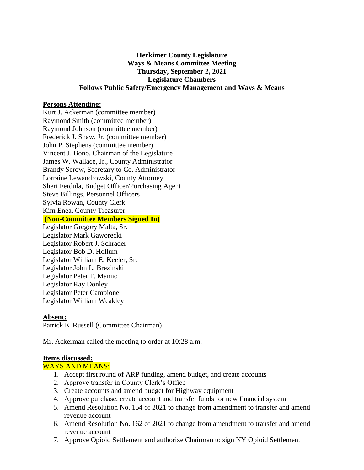## **Herkimer County Legislature Ways & Means Committee Meeting Thursday, September 2, 2021 Legislature Chambers Follows Public Safety/Emergency Management and Ways & Means**

### **Persons Attending:**

Kurt J. Ackerman (committee member) Raymond Smith (committee member) Raymond Johnson (committee member) Frederick J. Shaw, Jr. (committee member) John P. Stephens (committee member) Vincent J. Bono, Chairman of the Legislature James W. Wallace, Jr., County Administrator Brandy Serow, Secretary to Co. Administrator Lorraine Lewandrowski, County Attorney Sheri Ferdula, Budget Officer/Purchasing Agent Steve Billings, Personnel Officers Sylvia Rowan, County Clerk Kim Enea, County Treasurer **(Non-Committee Members Signed In)** Legislator Gregory Malta, Sr. Legislator Mark Gaworecki Legislator Robert J. Schrader Legislator Bob D. Hollum Legislator William E. Keeler, Sr. Legislator John L. Brezinski Legislator Peter F. Manno Legislator Ray Donley Legislator Peter Campione

# **Absent:**

Patrick E. Russell (Committee Chairman)

Mr. Ackerman called the meeting to order at 10:28 a.m.

#### **Items discussed:**

#### WAYS AND MEANS:

Legislator William Weakley

- 1. Accept first round of ARP funding, amend budget, and create accounts
- 2. Approve transfer in County Clerk's Office
- 3. Create accounts and amend budget for Highway equipment
- 4. Approve purchase, create account and transfer funds for new financial system
- 5. Amend Resolution No. 154 of 2021 to change from amendment to transfer and amend revenue account
- 6. Amend Resolution No. 162 of 2021 to change from amendment to transfer and amend revenue account
- 7. Approve Opioid Settlement and authorize Chairman to sign NY Opioid Settlement